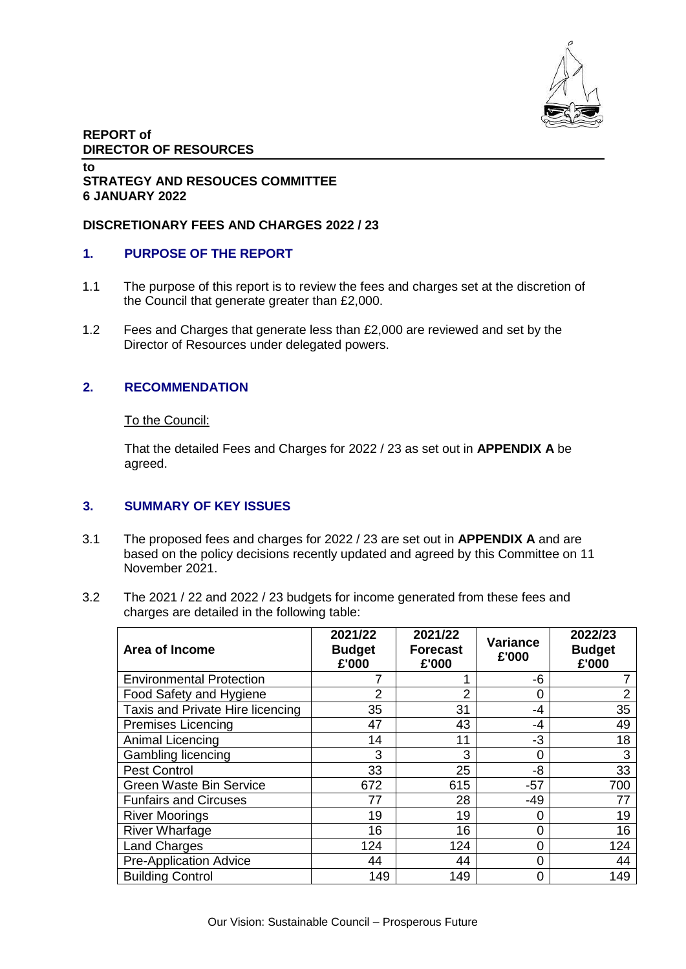

## **REPORT of DIRECTOR OF RESOURCES**

#### **to STRATEGY AND RESOUCES COMMITTEE 6 JANUARY 2022**

## **DISCRETIONARY FEES AND CHARGES 2022 / 23**

## **1. PURPOSE OF THE REPORT**

- 1.1 The purpose of this report is to review the fees and charges set at the discretion of the Council that generate greater than £2,000.
- 1.2 Fees and Charges that generate less than £2,000 are reviewed and set by the Director of Resources under delegated powers.

## **2. RECOMMENDATION**

#### To the Council:

That the detailed Fees and Charges for 2022 / 23 as set out in **APPENDIX A** be agreed.

## **3. SUMMARY OF KEY ISSUES**

- 3.1 The proposed fees and charges for 2022 / 23 are set out in **APPENDIX A** and are based on the policy decisions recently updated and agreed by this Committee on 11 November 2021.
- 3.2 The 2021 / 22 and 2022 / 23 budgets for income generated from these fees and charges are detailed in the following table:

| Area of Income                   | 2021/22<br><b>Budget</b><br>£'000 | 2021/22<br><b>Forecast</b><br>£'000 | Variance<br>£'000 | 2022/23<br><b>Budget</b><br>£'000 |
|----------------------------------|-----------------------------------|-------------------------------------|-------------------|-----------------------------------|
| <b>Environmental Protection</b>  |                                   |                                     | -6                |                                   |
| Food Safety and Hygiene          | 2                                 | $\overline{2}$                      | 0                 | 2                                 |
| Taxis and Private Hire licencing | 35                                | 31                                  | -4                | 35                                |
| <b>Premises Licencing</b>        | 47                                | 43                                  | -4                | 49                                |
| Animal Licencing                 | 14                                | 11                                  | -3                | 18                                |
| Gambling licencing               | 3                                 | 3                                   | $\Omega$          | 3                                 |
| <b>Pest Control</b>              | 33                                | 25                                  | -8                | 33                                |
| <b>Green Waste Bin Service</b>   | 672                               | 615                                 | $-57$             | 700                               |
| <b>Funfairs and Circuses</b>     | 77                                | 28                                  | $-49$             | 77                                |
| <b>River Moorings</b>            | 19                                | 19                                  | $\Omega$          | 19                                |
| <b>River Wharfage</b>            | 16                                | 16                                  | 0                 | 16                                |
| <b>Land Charges</b>              | 124                               | 124                                 | $\Omega$          | 124                               |
| <b>Pre-Application Advice</b>    | 44                                | 44                                  | 0                 | 44                                |
| <b>Building Control</b>          | 149                               | 149                                 | $\Omega$          | 149                               |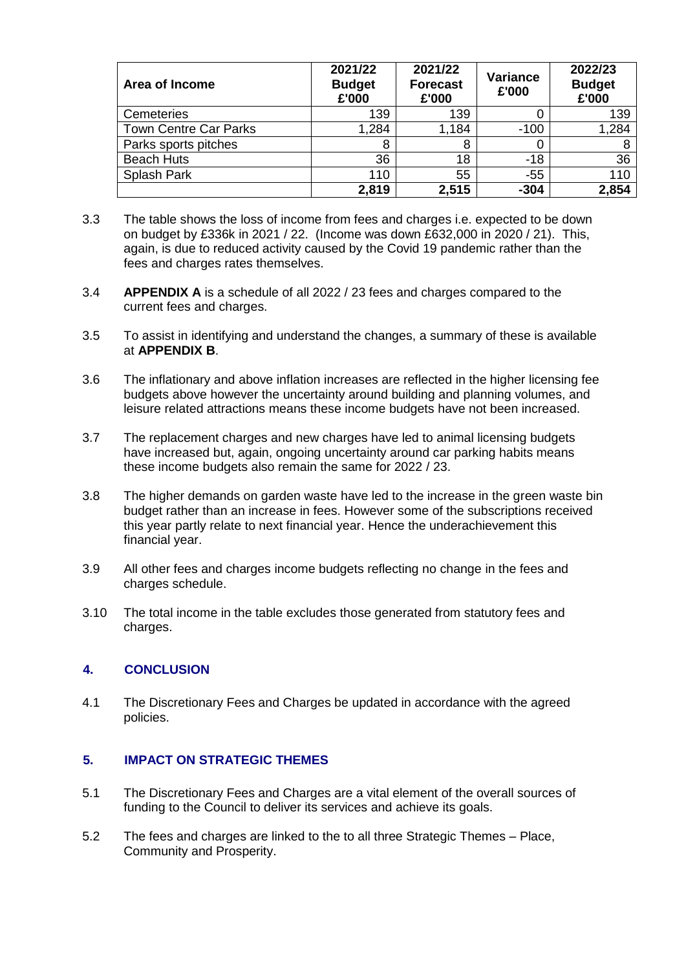| Area of Income               | 2021/22<br><b>Budget</b><br>£'000 | 2021/22<br><b>Forecast</b><br>£'000 | <b>Variance</b><br>£'000 | 2022/23<br><b>Budget</b><br>£'000 |
|------------------------------|-----------------------------------|-------------------------------------|--------------------------|-----------------------------------|
| Cemeteries                   | 139                               | 139                                 |                          | 139                               |
| <b>Town Centre Car Parks</b> | 1,284                             | 1,184                               | $-100$                   | ,284                              |
| Parks sports pitches         | 8                                 | 8                                   |                          |                                   |
| <b>Beach Huts</b>            | 36                                | 18                                  | $-18$                    | 36                                |
| Splash Park                  | 110                               | 55                                  | $-55$                    | 110                               |
|                              | 2,819                             | 2,515                               | $-304$                   | 2,854                             |

- 3.3 The table shows the loss of income from fees and charges i.e. expected to be down on budget by £336k in 2021 / 22. (Income was down £632,000 in 2020 / 21). This, again, is due to reduced activity caused by the Covid 19 pandemic rather than the fees and charges rates themselves.
- 3.4 **APPENDIX A** is a schedule of all 2022 / 23 fees and charges compared to the current fees and charges.
- 3.5 To assist in identifying and understand the changes, a summary of these is available at **APPENDIX B**.
- 3.6 The inflationary and above inflation increases are reflected in the higher licensing fee budgets above however the uncertainty around building and planning volumes, and leisure related attractions means these income budgets have not been increased.
- 3.7 The replacement charges and new charges have led to animal licensing budgets have increased but, again, ongoing uncertainty around car parking habits means these income budgets also remain the same for 2022 / 23.
- 3.8 The higher demands on garden waste have led to the increase in the green waste bin budget rather than an increase in fees. However some of the subscriptions received this year partly relate to next financial year. Hence the underachievement this financial year.
- 3.9 All other fees and charges income budgets reflecting no change in the fees and charges schedule.
- 3.10 The total income in the table excludes those generated from statutory fees and charges.

## **4. CONCLUSION**

4.1 The Discretionary Fees and Charges be updated in accordance with the agreed policies.

# **5. IMPACT ON STRATEGIC THEMES**

- 5.1 The Discretionary Fees and Charges are a vital element of the overall sources of funding to the Council to deliver its services and achieve its goals.
- 5.2 The fees and charges are linked to the to all three Strategic Themes Place, Community and Prosperity.